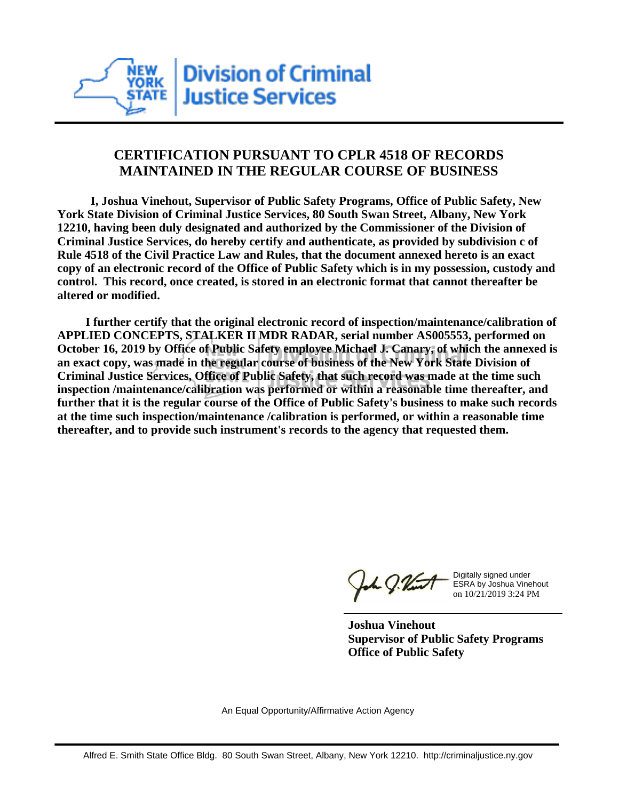

## **CERTIFICATION PURSUANT TO CPLR 4518 OF RECORDS MAINTAINED IN THE REGULAR COURSE OF BUSINESS**

 **I, Joshua Vinehout, Supervisor of Public Safety Programs, Office of Public Safety, New York State Division of Criminal Justice Services, 80 South Swan Street, Albany, New York 12210, having been duly designated and authorized by the Commissioner of the Division of Criminal Justice Services, do hereby certify and authenticate, as provided by subdivision c of Rule 4518 of the Civil Practice Law and Rules, that the document annexed hereto is an exact copy of an electronic record of the Office of Public Safety which is in my possession, custody and control. This record, once created, is stored in an electronic format that cannot thereafter be altered or modified.**

 **I further certify that the original electronic record of inspection/maintenance/calibration of APPLIED CONCEPTS, STALKER II MDR RADAR, serial number AS005553, performed on October 16, 2019 by Office of Public Safety employee Michael J. Canary, of which the annexed is an exact copy, was made in the regular course of business of the New York State Division of Criminal Justice Services, Office of Public Safety, that such record was made at the time such inspection /maintenance/calibration was performed or within a reasonable time thereafter, and further that it is the regular course of the Office of Public Safety's business to make such records at the time such inspection/maintenance /calibration is performed, or within a reasonable time thereafter, and to provide such instrument's records to the agency that requested them.**

h J.Vint

Digitally signed under ESRA by Joshua Vinehout on 10/21/2019 3:24 PM

**Joshua Vinehout Supervisor of Public Safety Programs Office of Public Safety**

An Equal Opportunity/Affirmative Action Agency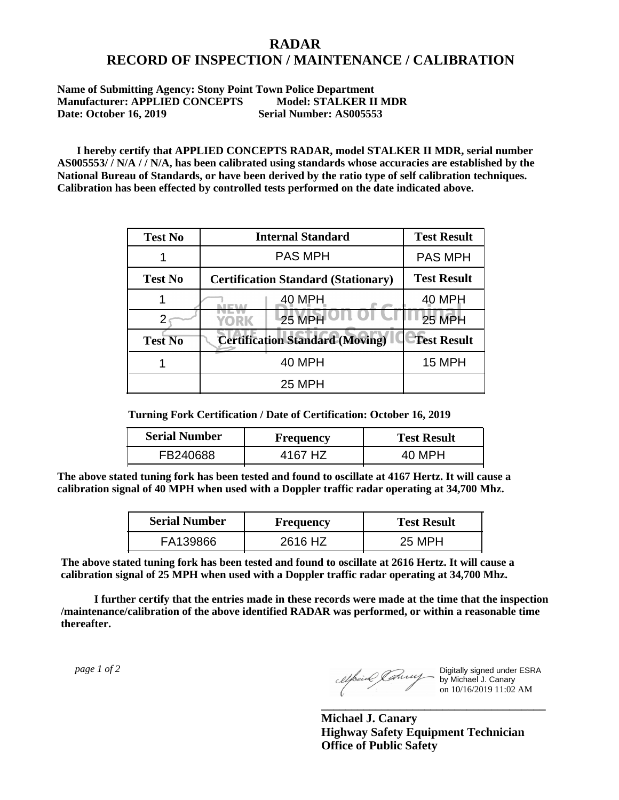## **RADAR RECORD OF INSPECTION / MAINTENANCE / CALIBRATION**

## **Name of Submitting Agency: Stony Point Town Police Department Manufacturer: APPLIED CONCEPTS Model: STALKER II MDR Date: October 16, 2019 Serial Number: AS005553**

 **I hereby certify that APPLIED CONCEPTS RADAR, model STALKER II MDR, serial number AS005553/ / N/A / / N/A, has been calibrated using standards whose accuracies are established by the National Bureau of Standards, or have been derived by the ratio type of self calibration techniques. Calibration has been effected by controlled tests performed on the date indicated above.**

| <b>Test No</b> | <b>Internal Standard</b>                   | <b>Test Result</b> |
|----------------|--------------------------------------------|--------------------|
|                | <b>PAS MPH</b>                             | <b>PAS MPH</b>     |
| <b>Test No</b> | <b>Certification Standard (Stationary)</b> | <b>Test Result</b> |
|                | 40 MPH                                     | 40 MPH             |
|                | <b>25 MPH</b><br>YORK                      | <b>25 MPH</b>      |
| <b>Test No</b> | <b>Certification Standard (Moving)</b>     | <b>Test Result</b> |
|                | <b>40 MPH</b>                              | 15 MPH             |
|                | <b>25 MPH</b>                              |                    |

**Turning Fork Certification / Date of Certification: October 16, 2019**

| <b>Serial Number</b> | <b>Frequency</b> | <b>Test Result</b> |
|----------------------|------------------|--------------------|
| FB240688             | 4167 HZ          | 40 MPH             |

**The above stated tuning fork has been tested and found to oscillate at 4167 Hertz. It will cause a calibration signal of 40 MPH when used with a Doppler traffic radar operating at 34,700 Mhz.**

| <b>Serial Number</b> | Frequency | <b>Test Result</b> |
|----------------------|-----------|--------------------|
| FA139866             | 2616 HZ   | 25 MPH             |

**The above stated tuning fork has been tested and found to oscillate at 2616 Hertz. It will cause a calibration signal of 25 MPH when used with a Doppler traffic radar operating at 34,700 Mhz.**

 **I further certify that the entries made in these records were made at the time that the inspection /maintenance/calibration of the above identified RADAR was performed, or within a reasonable time thereafter.**

 *page 1 of 2* 

Digitally signed under ESRA by Michael J. Canary on 10/16/2019 11:02 AM

**Michael J. Canary Highway Safety Equipment Technician Office of Public Safety**

**\_\_\_\_\_\_\_\_\_\_\_\_\_\_\_\_\_\_\_\_\_\_\_\_\_\_\_\_\_\_\_\_\_\_\_\_\_**